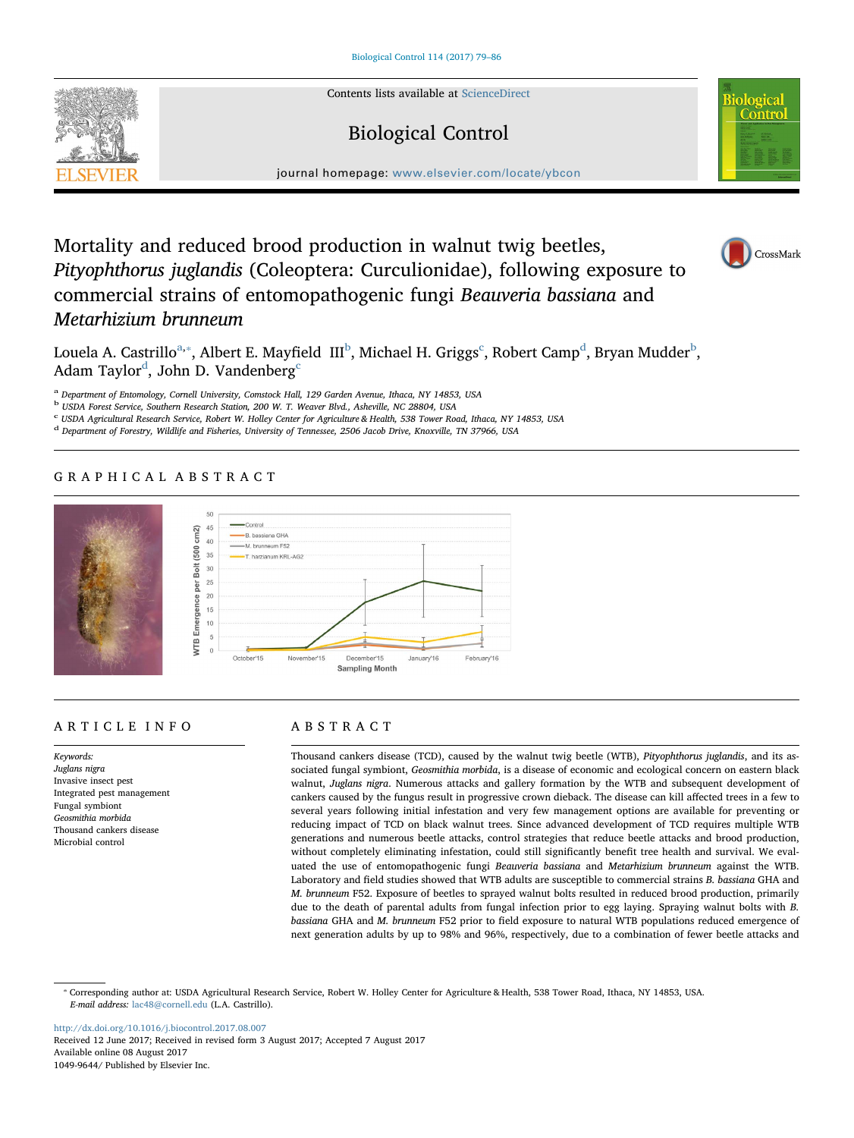Contents lists available at [ScienceDirect](http://www.sciencedirect.com/science/journal/10499644)

# Biological Control



journal homepage: [www.elsevier.com/locate/ybcon](http://www.elsevier.com/locate/ybcon)

# Mortality and reduced brood production in walnut twig beetles, Pityophthorus juglandis (Coleoptera: Curculionidae), following exposure to commercial strains of entomopathogenic fungi Beauveria bassiana and Metarhizium brunneum



Louela A. Castrillo $^\mathrm{a},^\mathrm{*}$ , Albert E. Mayfiel[d](#page-0-4) III $^\mathrm{b}$  $^\mathrm{b}$  $^\mathrm{b}$ , Mi[c](#page-0-3)hael H. Griggs $^\mathrm{c}$ , Robert Camp $^\mathrm{d}$ , Bryan Mudder $^\mathrm{b}$ , A[d](#page-0-4)am Taylor $^\text{d}$ , John D. Vandenberg $^\text{c}$  $^\text{c}$  $^\text{c}$ 

<span id="page-0-0"></span><sup>a</sup> Department of Entomology, Cornell University, Comstock Hall, 129 Garden Avenue, Ithaca, NY 14853, USA

<span id="page-0-2"></span><sup>b</sup> USDA Forest Service, Southern Research Station, 200 W. T. Weaver Blvd., Asheville, NC 28804, USA

<span id="page-0-3"></span><sup>c</sup> USDA Agricultural Research Service, Robert W. Holley Center for Agriculture & Health, 538 Tower Road, Ithaca, NY 14853, USA

<span id="page-0-4"></span><sup>d</sup> Department of Forestry, Wildlife and Fisheries, University of Tennessee, 2506 Jacob Drive, Knoxville, TN 37966, USA

# GRAPHICAL ABSTRACT



# ARTICLE INFO

Keywords: Juglans nigra Invasive insect pest Integrated pest management Fungal symbiont Geosmithia morbida Thousand cankers disease Microbial control

# ABSTRACT

Thousand cankers disease (TCD), caused by the walnut twig beetle (WTB), Pityophthorus juglandis, and its associated fungal symbiont, Geosmithia morbida, is a disease of economic and ecological concern on eastern black walnut, Juglans nigra. Numerous attacks and gallery formation by the WTB and subsequent development of cankers caused by the fungus result in progressive crown dieback. The disease can kill affected trees in a few to several years following initial infestation and very few management options are available for preventing or reducing impact of TCD on black walnut trees. Since advanced development of TCD requires multiple WTB generations and numerous beetle attacks, control strategies that reduce beetle attacks and brood production, without completely eliminating infestation, could still significantly benefit tree health and survival. We evaluated the use of entomopathogenic fungi Beauveria bassiana and Metarhizium brunneum against the WTB. Laboratory and field studies showed that WTB adults are susceptible to commercial strains B. bassiana GHA and M. brunneum F52. Exposure of beetles to sprayed walnut bolts resulted in reduced brood production, primarily due to the death of parental adults from fungal infection prior to egg laying. Spraying walnut bolts with B. bassiana GHA and M. brunneum F52 prior to field exposure to natural WTB populations reduced emergence of next generation adults by up to 98% and 96%, respectively, due to a combination of fewer beetle attacks and

<span id="page-0-1"></span>⁎ Corresponding author at: USDA Agricultural Research Service, Robert W. Holley Center for Agriculture & Health, 538 Tower Road, Ithaca, NY 14853, USA. E-mail address: [lac48@cornell.edu](mailto:lac48@cornell.edu) (L.A. Castrillo).

<http://dx.doi.org/10.1016/j.biocontrol.2017.08.007> Received 12 June 2017; Received in revised form 3 August 2017; Accepted 7 August 2017 Available online 08 August 2017 1049-9644/ Published by Elsevier Inc.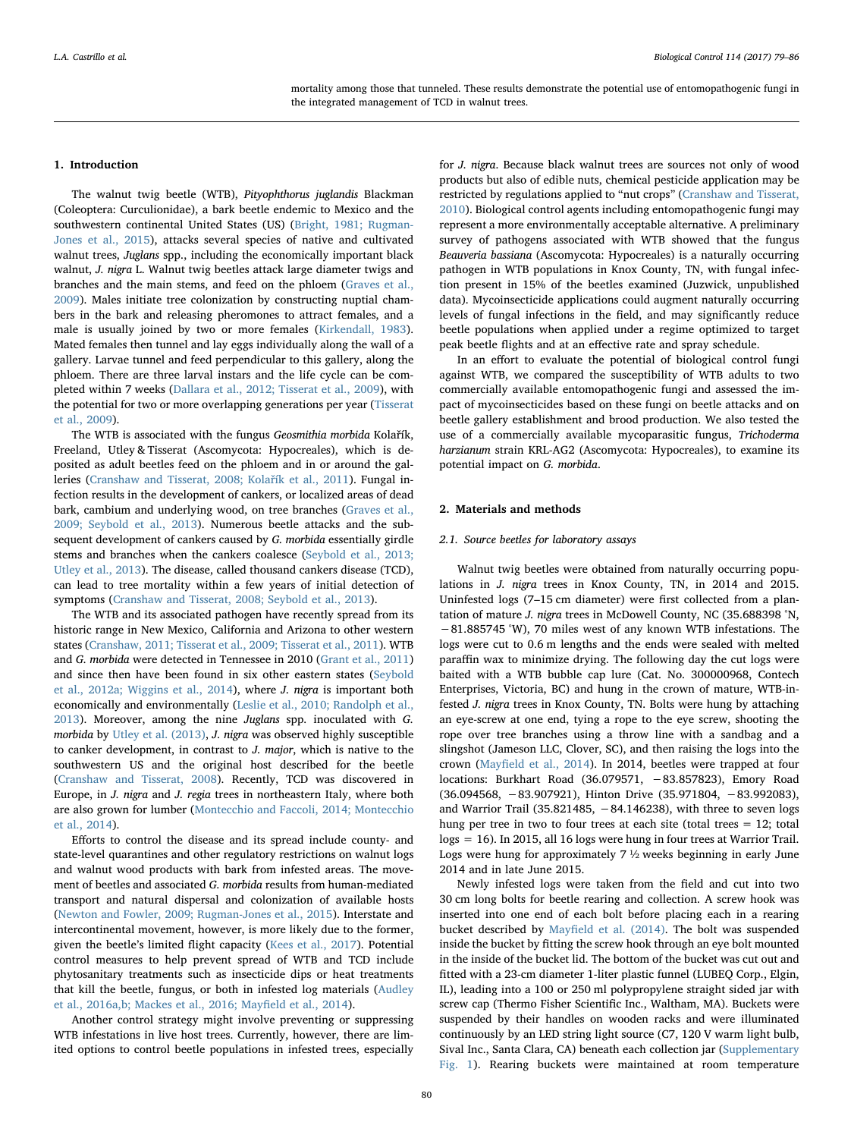mortality among those that tunneled. These results demonstrate the potential use of entomopathogenic fungi in the integrated management of TCD in walnut trees.

## 1. Introduction

The walnut twig beetle (WTB), Pityophthorus juglandis Blackman (Coleoptera: Curculionidae), a bark beetle endemic to Mexico and the southwestern continental United States (US) [\(Bright, 1981; Rugman-](#page-7-0)[Jones et al., 2015\)](#page-7-0), attacks several species of native and cultivated walnut trees, Juglans spp., including the economically important black walnut, J. nigra L. Walnut twig beetles attack large diameter twigs and branches and the main stems, and feed on the phloem [\(Graves et al.,](#page-7-1) [2009\)](#page-7-1). Males initiate tree colonization by constructing nuptial chambers in the bark and releasing pheromones to attract females, and a male is usually joined by two or more females ([Kirkendall, 1983](#page-7-2)). Mated females then tunnel and lay eggs individually along the wall of a gallery. Larvae tunnel and feed perpendicular to this gallery, along the phloem. There are three larval instars and the life cycle can be completed within 7 weeks ([Dallara et al., 2012; Tisserat et al., 2009\)](#page-7-3), with the potential for two or more overlapping generations per year [\(Tisserat](#page-7-4) [et al., 2009](#page-7-4)).

The WTB is associated with the fungus Geosmithia morbida Kolařík, Freeland, Utley & Tisserat (Ascomycota: Hypocreales), which is deposited as adult beetles feed on the phloem and in or around the galleries ([Cranshaw and Tisserat, 2008; Kola](#page-7-5)řík et al., 2011). Fungal infection results in the development of cankers, or localized areas of dead bark, cambium and underlying wood, on tree branches [\(Graves et al.,](#page-7-1) [2009; Seybold et al., 2013\)](#page-7-1). Numerous beetle attacks and the subsequent development of cankers caused by G. morbida essentially girdle stems and branches when the cankers coalesce ([Seybold et al., 2013;](#page-7-6) [Utley et al., 2013\)](#page-7-6). The disease, called thousand cankers disease (TCD), can lead to tree mortality within a few years of initial detection of symptoms ([Cranshaw and Tisserat, 2008; Seybold et al., 2013](#page-7-5)).

The WTB and its associated pathogen have recently spread from its historic range in New Mexico, California and Arizona to other western states [\(Cranshaw, 2011; Tisserat et al., 2009; Tisserat et al., 2011](#page-7-7)). WTB and G. morbida were detected in Tennessee in 2010 ([Grant et al., 2011\)](#page-7-8) and since then have been found in six other eastern states ([Seybold](#page-7-9) [et al., 2012a; Wiggins et al., 2014\)](#page-7-9), where J. nigra is important both economically and environmentally [\(Leslie et al., 2010; Randolph et al.,](#page-7-10) [2013\)](#page-7-10). Moreover, among the nine Juglans spp. inoculated with G. morbida by [Utley et al. \(2013\)](#page-7-11), J. nigra was observed highly susceptible to canker development, in contrast to J. major, which is native to the southwestern US and the original host described for the beetle ([Cranshaw and Tisserat, 2008](#page-7-5)). Recently, TCD was discovered in Europe, in J. nigra and J. regia trees in northeastern Italy, where both are also grown for lumber ([Montecchio and Faccoli, 2014; Montecchio](#page-7-12) [et al., 2014](#page-7-12)).

Efforts to control the disease and its spread include county- and state-level quarantines and other regulatory restrictions on walnut logs and walnut wood products with bark from infested areas. The movement of beetles and associated G. morbida results from human-mediated transport and natural dispersal and colonization of available hosts ([Newton and Fowler, 2009; Rugman-Jones et al., 2015](#page-7-13)). Interstate and intercontinental movement, however, is more likely due to the former, given the beetle's limited flight capacity [\(Kees et al., 2017\)](#page-7-14). Potential control measures to help prevent spread of WTB and TCD include phytosanitary treatments such as insecticide dips or heat treatments that kill the beetle, fungus, or both in infested log materials ([Audley](#page-7-15) [et al., 2016a,b; Mackes et al., 2016; May](#page-7-15)field et al., 2014).

Another control strategy might involve preventing or suppressing WTB infestations in live host trees. Currently, however, there are limited options to control beetle populations in infested trees, especially

for J. nigra. Because black walnut trees are sources not only of wood products but also of edible nuts, chemical pesticide application may be restricted by regulations applied to "nut crops" [\(Cranshaw and Tisserat,](#page-7-16) [2010\)](#page-7-16). Biological control agents including entomopathogenic fungi may represent a more environmentally acceptable alternative. A preliminary survey of pathogens associated with WTB showed that the fungus Beauveria bassiana (Ascomycota: Hypocreales) is a naturally occurring pathogen in WTB populations in Knox County, TN, with fungal infection present in 15% of the beetles examined (Juzwick, unpublished data). Mycoinsecticide applications could augment naturally occurring levels of fungal infections in the field, and may significantly reduce beetle populations when applied under a regime optimized to target peak beetle flights and at an effective rate and spray schedule.

In an effort to evaluate the potential of biological control fungi against WTB, we compared the susceptibility of WTB adults to two commercially available entomopathogenic fungi and assessed the impact of mycoinsecticides based on these fungi on beetle attacks and on beetle gallery establishment and brood production. We also tested the use of a commercially available mycoparasitic fungus, Trichoderma harzianum strain KRL-AG2 (Ascomycota: Hypocreales), to examine its potential impact on G. morbida.

# 2. Materials and methods

# 2.1. Source beetles for laboratory assays

Walnut twig beetles were obtained from naturally occurring populations in J. nigra trees in Knox County, TN, in 2014 and 2015. Uninfested logs (7–15 cm diameter) were first collected from a plantation of mature J. nigra trees in McDowell County, NC (35.688398 °N, −81.885745 °W), 70 miles west of any known WTB infestations. The logs were cut to 0.6 m lengths and the ends were sealed with melted paraffin wax to minimize drying. The following day the cut logs were baited with a WTB bubble cap lure (Cat. No. 300000968, Contech Enterprises, Victoria, BC) and hung in the crown of mature, WTB-infested J. nigra trees in Knox County, TN. Bolts were hung by attaching an eye-screw at one end, tying a rope to the eye screw, shooting the rope over tree branches using a throw line with a sandbag and a slingshot (Jameson LLC, Clover, SC), and then raising the logs into the crown (Mayfi[eld et al., 2014](#page-7-17)). In 2014, beetles were trapped at four locations: Burkhart Road (36.079571, −83.857823), Emory Road (36.094568, −83.907921), Hinton Drive (35.971804, −83.992083), and Warrior Trail (35.821485, −84.146238), with three to seven logs hung per tree in two to four trees at each site (total trees = 12; total logs = 16). In 2015, all 16 logs were hung in four trees at Warrior Trail. Logs were hung for approximately 7 ½ weeks beginning in early June 2014 and in late June 2015.

Newly infested logs were taken from the field and cut into two 30 cm long bolts for beetle rearing and collection. A screw hook was inserted into one end of each bolt before placing each in a rearing bucket described by Mayfi[eld et al. \(2014\).](#page-7-17) The bolt was suspended inside the bucket by fitting the screw hook through an eye bolt mounted in the inside of the bucket lid. The bottom of the bucket was cut out and fitted with a 23-cm diameter 1-liter plastic funnel (LUBEQ Corp., Elgin, IL), leading into a 100 or 250 ml polypropylene straight sided jar with screw cap (Thermo Fisher Scientific Inc., Waltham, MA). Buckets were suspended by their handles on wooden racks and were illuminated continuously by an LED string light source (C7, 120 V warm light bulb, Sival Inc., Santa Clara, CA) beneath each collection jar (Supplementary Fig. 1). Rearing buckets were maintained at room temperature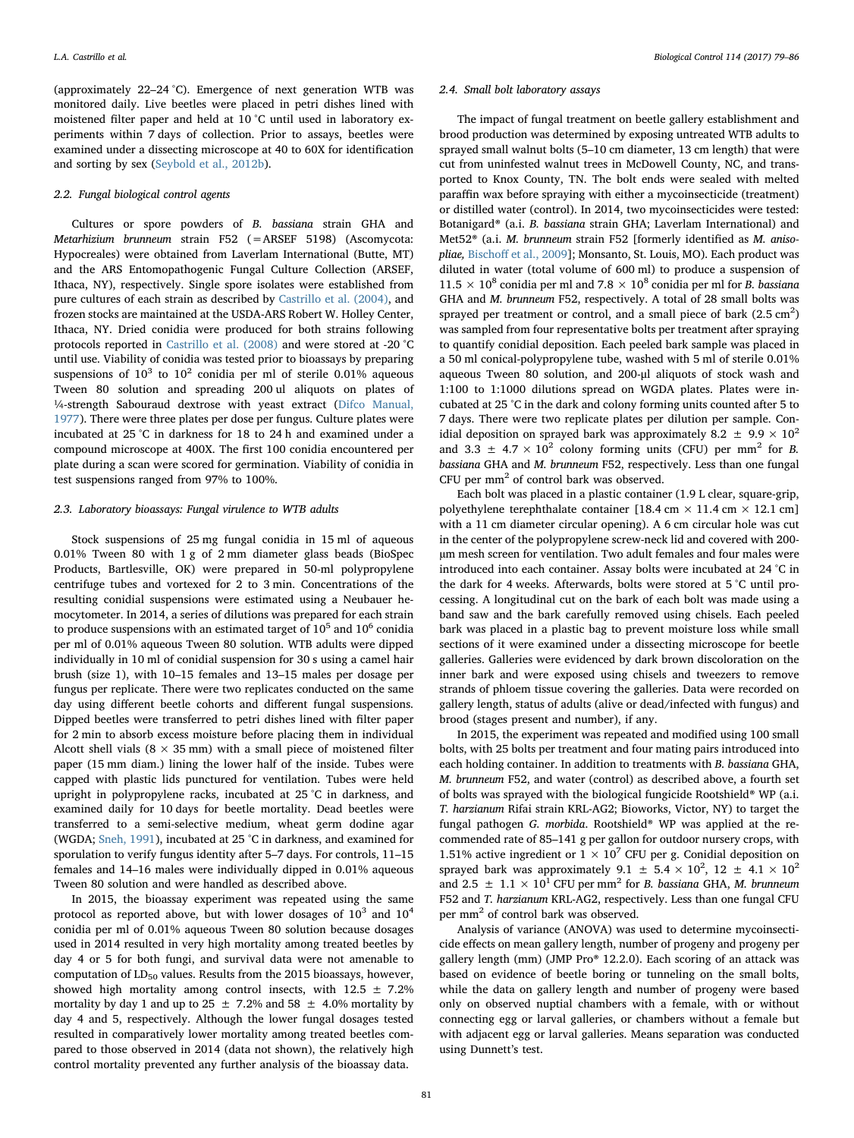(approximately 22–24 °C). Emergence of next generation WTB was monitored daily. Live beetles were placed in petri dishes lined with moistened filter paper and held at 10 °C until used in laboratory experiments within 7 days of collection. Prior to assays, beetles were examined under a dissecting microscope at 40 to 60X for identification and sorting by sex ([Seybold et al., 2012b](#page-7-18)).

# 2.2. Fungal biological control agents

Cultures or spore powders of B. bassiana strain GHA and Metarhizium brunneum strain F52 (=ARSEF 5198) (Ascomycota: Hypocreales) were obtained from Laverlam International (Butte, MT) and the ARS Entomopathogenic Fungal Culture Collection (ARSEF, Ithaca, NY), respectively. Single spore isolates were established from pure cultures of each strain as described by [Castrillo et al. \(2004\),](#page-7-19) and frozen stocks are maintained at the USDA-ARS Robert W. Holley Center, Ithaca, NY. Dried conidia were produced for both strains following protocols reported in [Castrillo et al. \(2008\)](#page-7-20) and were stored at -20 °C until use. Viability of conidia was tested prior to bioassays by preparing suspensions of  $10^3$  to  $10^2$  conidia per ml of sterile 0.01% aqueous Tween 80 solution and spreading 200 ul aliquots on plates of ¼-strength Sabouraud dextrose with yeast extract [\(Difco Manual,](#page-7-21) [1977\)](#page-7-21). There were three plates per dose per fungus. Culture plates were incubated at 25 °C in darkness for 18 to 24 h and examined under a compound microscope at 400X. The first 100 conidia encountered per plate during a scan were scored for germination. Viability of conidia in test suspensions ranged from 97% to 100%.

## 2.3. Laboratory bioassays: Fungal virulence to WTB adults

Stock suspensions of 25 mg fungal conidia in 15 ml of aqueous 0.01% Tween 80 with 1 g of 2 mm diameter glass beads (BioSpec Products, Bartlesville, OK) were prepared in 50-ml polypropylene centrifuge tubes and vortexed for 2 to 3 min. Concentrations of the resulting conidial suspensions were estimated using a Neubauer hemocytometer. In 2014, a series of dilutions was prepared for each strain to produce suspensions with an estimated target of  $10^5$  and  $10^6$  conidia per ml of 0.01% aqueous Tween 80 solution. WTB adults were dipped individually in 10 ml of conidial suspension for 30 s using a camel hair brush (size 1), with 10–15 females and 13–15 males per dosage per fungus per replicate. There were two replicates conducted on the same day using different beetle cohorts and different fungal suspensions. Dipped beetles were transferred to petri dishes lined with filter paper for 2 min to absorb excess moisture before placing them in individual Alcott shell vials ( $8 \times 35$  mm) with a small piece of moistened filter paper (15 mm diam.) lining the lower half of the inside. Tubes were capped with plastic lids punctured for ventilation. Tubes were held upright in polypropylene racks, incubated at 25 °C in darkness, and examined daily for 10 days for beetle mortality. Dead beetles were transferred to a semi-selective medium, wheat germ dodine agar (WGDA; [Sneh, 1991\)](#page-7-22), incubated at 25 °C in darkness, and examined for sporulation to verify fungus identity after 5–7 days. For controls, 11–15 females and 14–16 males were individually dipped in 0.01% aqueous Tween 80 solution and were handled as described above.

In 2015, the bioassay experiment was repeated using the same protocol as reported above, but with lower dosages of  $10^3$  and  $10^4$ conidia per ml of 0.01% aqueous Tween 80 solution because dosages used in 2014 resulted in very high mortality among treated beetles by day 4 or 5 for both fungi, and survival data were not amenable to computation of  $LD_{50}$  values. Results from the 2015 bioassays, however, showed high mortality among control insects, with  $12.5 \pm 7.2\%$ mortality by day 1 and up to 25  $\pm$  7.2% and 58  $\pm$  4.0% mortality by day 4 and 5, respectively. Although the lower fungal dosages tested resulted in comparatively lower mortality among treated beetles compared to those observed in 2014 (data not shown), the relatively high control mortality prevented any further analysis of the bioassay data.

#### 2.4. Small bolt laboratory assays

The impact of fungal treatment on beetle gallery establishment and brood production was determined by exposing untreated WTB adults to sprayed small walnut bolts (5–10 cm diameter, 13 cm length) that were cut from uninfested walnut trees in McDowell County, NC, and transported to Knox County, TN. The bolt ends were sealed with melted paraffin wax before spraying with either a mycoinsecticide (treatment) or distilled water (control). In 2014, two mycoinsecticides were tested: Botanigard® (a.i. B. bassiana strain GHA; Laverlam International) and Met52<sup>®</sup> (a.i. *M. brunneum strain F52 [formerly identified as M. aniso*pliae, Bischoff [et al., 2009\]](#page-7-23); Monsanto, St. Louis, MO). Each product was diluted in water (total volume of 600 ml) to produce a suspension of  $11.5 \times 10^8$  conidia per ml and 7.8  $\times$  10<sup>8</sup> conidia per ml for *B*. bassiana GHA and M. brunneum F52, respectively. A total of 28 small bolts was sprayed per treatment or control, and a small piece of bark  $(2.5 \text{ cm}^2)$ was sampled from four representative bolts per treatment after spraying to quantify conidial deposition. Each peeled bark sample was placed in a 50 ml conical-polypropylene tube, washed with 5 ml of sterile 0.01% aqueous Tween 80 solution, and 200-μl aliquots of stock wash and 1:100 to 1:1000 dilutions spread on WGDA plates. Plates were incubated at 25 °C in the dark and colony forming units counted after 5 to 7 days. There were two replicate plates per dilution per sample. Conidial deposition on sprayed bark was approximately 8.2  $\pm$  9.9  $\times$  10<sup>2</sup> and 3.3  $\pm$  4.7  $\times$  10<sup>2</sup> colony forming units (CFU) per mm<sup>2</sup> for *B*. bassiana GHA and M. brunneum F52, respectively. Less than one fungal CFU per mm<sup>2</sup> of control bark was observed.

Each bolt was placed in a plastic container (1.9 L clear, square-grip, polyethylene terephthalate container [18.4 cm  $\times$  11.4 cm  $\times$  12.1 cm] with a 11 cm diameter circular opening). A 6 cm circular hole was cut in the center of the polypropylene screw-neck lid and covered with 200 µm mesh screen for ventilation. Two adult females and four males were introduced into each container. Assay bolts were incubated at 24 °C in the dark for 4 weeks. Afterwards, bolts were stored at 5 °C until processing. A longitudinal cut on the bark of each bolt was made using a band saw and the bark carefully removed using chisels. Each peeled bark was placed in a plastic bag to prevent moisture loss while small sections of it were examined under a dissecting microscope for beetle galleries. Galleries were evidenced by dark brown discoloration on the inner bark and were exposed using chisels and tweezers to remove strands of phloem tissue covering the galleries. Data were recorded on gallery length, status of adults (alive or dead/infected with fungus) and brood (stages present and number), if any.

In 2015, the experiment was repeated and modified using 100 small bolts, with 25 bolts per treatment and four mating pairs introduced into each holding container. In addition to treatments with B. bassiana GHA, M. brunneum F52, and water (control) as described above, a fourth set of bolts was sprayed with the biological fungicide Rootshield® WP (a.i. T. harzianum Rifai strain KRL-AG2; Bioworks, Victor, NY) to target the fungal pathogen G. morbida. Rootshield® WP was applied at the recommended rate of 85–141 g per gallon for outdoor nursery crops, with 1.51% active ingredient or  $1 \times 10^7$  CFU per g. Conidial deposition on sprayed bark was approximately 9.1  $\pm$  5.4  $\times$  10<sup>2</sup>, 12  $\pm$  4.1  $\times$  10<sup>2</sup> and 2.5  $\pm$  1.1  $\times$  10<sup>1</sup> CFU per mm<sup>2</sup> for *B*. bassiana GHA, *M*. brunneum F52 and T. harzianum KRL-AG2, respectively. Less than one fungal CFU per mm<sup>2</sup> of control bark was observed.

Analysis of variance (ANOVA) was used to determine mycoinsecticide effects on mean gallery length, number of progeny and progeny per gallery length (mm) (JMP Pro® 12.2.0). Each scoring of an attack was based on evidence of beetle boring or tunneling on the small bolts, while the data on gallery length and number of progeny were based only on observed nuptial chambers with a female, with or without connecting egg or larval galleries, or chambers without a female but with adjacent egg or larval galleries. Means separation was conducted using Dunnett's test.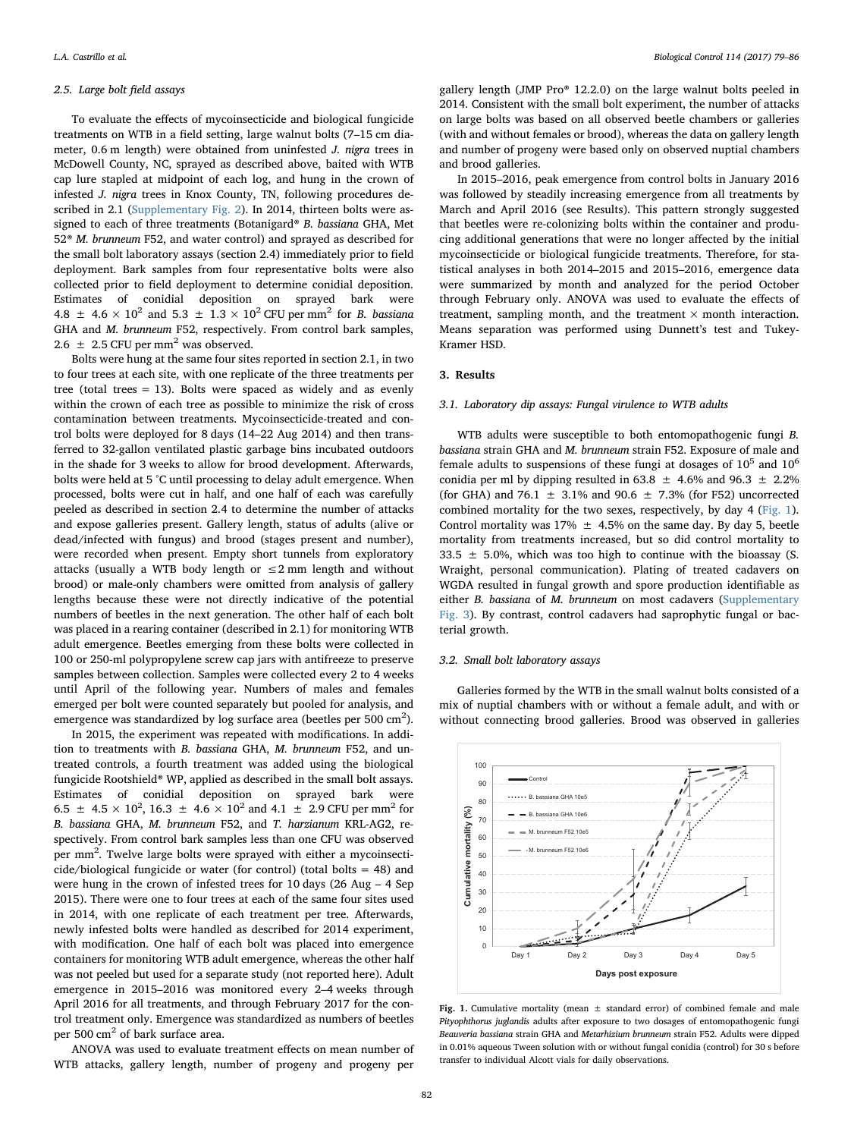#### 2.5. Large bolt field assays

To evaluate the effects of mycoinsecticide and biological fungicide treatments on WTB in a field setting, large walnut bolts (7–15 cm diameter, 0.6 m length) were obtained from uninfested J. nigra trees in McDowell County, NC, sprayed as described above, baited with WTB cap lure stapled at midpoint of each log, and hung in the crown of infested J. nigra trees in Knox County, TN, following procedures described in 2.1 (Supplementary Fig. 2). In 2014, thirteen bolts were assigned to each of three treatments (Botanigard® B. bassiana GHA, Met 52® M. brunneum F52, and water control) and sprayed as described for the small bolt laboratory assays (section 2.4) immediately prior to field deployment. Bark samples from four representative bolts were also collected prior to field deployment to determine conidial deposition. Estimates of conidial deposition on sprayed bark were 4.8  $\pm$  4.6  $\times$  10<sup>2</sup> and 5.3  $\pm$  1.3  $\times$  10<sup>2</sup> CFU per mm<sup>2</sup> for *B*. bassiana GHA and M. brunneum F52, respectively. From control bark samples, 2.6  $\pm$  2.5 CFU per mm<sup>2</sup> was observed.

Bolts were hung at the same four sites reported in section 2.1, in two to four trees at each site, with one replicate of the three treatments per tree (total trees  $= 13$ ). Bolts were spaced as widely and as evenly within the crown of each tree as possible to minimize the risk of cross contamination between treatments. Mycoinsecticide-treated and control bolts were deployed for 8 days (14–22 Aug 2014) and then transferred to 32-gallon ventilated plastic garbage bins incubated outdoors in the shade for 3 weeks to allow for brood development. Afterwards, bolts were held at 5 °C until processing to delay adult emergence. When processed, bolts were cut in half, and one half of each was carefully peeled as described in section 2.4 to determine the number of attacks and expose galleries present. Gallery length, status of adults (alive or dead/infected with fungus) and brood (stages present and number), were recorded when present. Empty short tunnels from exploratory attacks (usually a WTB body length or  $\leq$  2 mm length and without brood) or male-only chambers were omitted from analysis of gallery lengths because these were not directly indicative of the potential numbers of beetles in the next generation. The other half of each bolt was placed in a rearing container (described in 2.1) for monitoring WTB adult emergence. Beetles emerging from these bolts were collected in 100 or 250-ml polypropylene screw cap jars with antifreeze to preserve samples between collection. Samples were collected every 2 to 4 weeks until April of the following year. Numbers of males and females emerged per bolt were counted separately but pooled for analysis, and emergence was standardized by log surface area (beetles per 500  $\text{cm}^2$ ).

In 2015, the experiment was repeated with modifications. In addition to treatments with B. bassiana GHA, M. brunneum F52, and untreated controls, a fourth treatment was added using the biological fungicide Rootshield® WP, applied as described in the small bolt assays. Estimates of conidial deposition on sprayed bark were 6.5  $\pm$  4.5  $\times$  10<sup>2</sup>, 16.3  $\pm$  4.6  $\times$  10<sup>2</sup> and 4.1  $\pm$  2.9 CFU per mm<sup>2</sup> for B. bassiana GHA, M. brunneum F52, and T. harzianum KRL-AG2, respectively. From control bark samples less than one CFU was observed per mm<sup>2</sup>. Twelve large bolts were sprayed with either a mycoinsecticide/biological fungicide or water (for control) (total bolts = 48) and were hung in the crown of infested trees for 10 days (26 Aug – 4 Sep 2015). There were one to four trees at each of the same four sites used in 2014, with one replicate of each treatment per tree. Afterwards, newly infested bolts were handled as described for 2014 experiment, with modification. One half of each bolt was placed into emergence containers for monitoring WTB adult emergence, whereas the other half was not peeled but used for a separate study (not reported here). Adult emergence in 2015–2016 was monitored every 2–4 weeks through April 2016 for all treatments, and through February 2017 for the control treatment only. Emergence was standardized as numbers of beetles per 500 cm<sup>2</sup> of bark surface area.

ANOVA was used to evaluate treatment effects on mean number of WTB attacks, gallery length, number of progeny and progeny per

gallery length (JMP Pro® 12.2.0) on the large walnut bolts peeled in 2014. Consistent with the small bolt experiment, the number of attacks on large bolts was based on all observed beetle chambers or galleries (with and without females or brood), whereas the data on gallery length and number of progeny were based only on observed nuptial chambers and brood galleries.

In 2015–2016, peak emergence from control bolts in January 2016 was followed by steadily increasing emergence from all treatments by March and April 2016 (see Results). This pattern strongly suggested that beetles were re-colonizing bolts within the container and producing additional generations that were no longer affected by the initial mycoinsecticide or biological fungicide treatments. Therefore, for statistical analyses in both 2014–2015 and 2015–2016, emergence data were summarized by month and analyzed for the period October through February only. ANOVA was used to evaluate the effects of treatment, sampling month, and the treatment  $\times$  month interaction. Means separation was performed using Dunnett's test and Tukey-Kramer HSD.

#### 3. Results

## 3.1. Laboratory dip assays: Fungal virulence to WTB adults

WTB adults were susceptible to both entomopathogenic fungi B. bassiana strain GHA and M. brunneum strain F52. Exposure of male and female adults to suspensions of these fungi at dosages of  $10^5$  and  $10^6$ conidia per ml by dipping resulted in 63.8  $\pm$  4.6% and 96.3  $\pm$  2.2% (for GHA) and 76.1  $\pm$  3.1% and 90.6  $\pm$  7.3% (for F52) uncorrected combined mortality for the two sexes, respectively, by day 4 ([Fig. 1](#page-3-0)). Control mortality was 17%  $\pm$  4.5% on the same day. By day 5, beetle mortality from treatments increased, but so did control mortality to 33.5  $\pm$  5.0%, which was too high to continue with the bioassay (S. Wraight, personal communication). Plating of treated cadavers on WGDA resulted in fungal growth and spore production identifiable as either B. bassiana of M. brunneum on most cadavers (Supplementary Fig. 3). By contrast, control cadavers had saprophytic fungal or bacterial growth.

## 3.2. Small bolt laboratory assays

Galleries formed by the WTB in the small walnut bolts consisted of a mix of nuptial chambers with or without a female adult, and with or without connecting brood galleries. Brood was observed in galleries

<span id="page-3-0"></span>

Fig. 1. Cumulative mortality (mean  $\pm$  standard error) of combined female and male Pityophthorus juglandis adults after exposure to two dosages of entomopathogenic fungi Beauveria bassiana strain GHA and Metarhizium brunneum strain F52. Adults were dipped in 0.01% aqueous Tween solution with or without fungal conidia (control) for 30 s before transfer to individual Alcott vials for daily observations.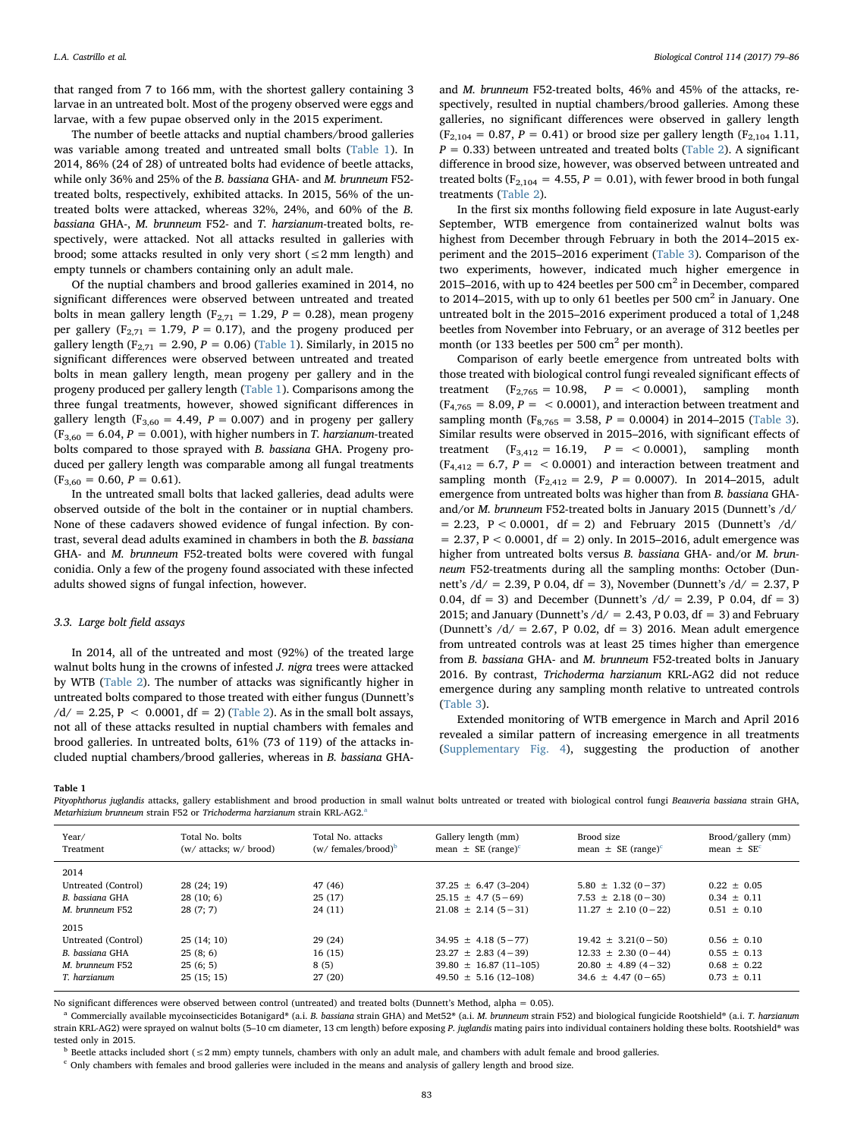that ranged from 7 to 166 mm, with the shortest gallery containing 3 larvae in an untreated bolt. Most of the progeny observed were eggs and larvae, with a few pupae observed only in the 2015 experiment.

The number of beetle attacks and nuptial chambers/brood galleries was variable among treated and untreated small bolts ([Table 1](#page-4-0)). In 2014, 86% (24 of 28) of untreated bolts had evidence of beetle attacks, while only 36% and 25% of the B. bassiana GHA- and M. brunneum F52 treated bolts, respectively, exhibited attacks. In 2015, 56% of the untreated bolts were attacked, whereas 32%, 24%, and 60% of the B. bassiana GHA-, M. brunneum F52- and T. harzianum-treated bolts, respectively, were attacked. Not all attacks resulted in galleries with brood; some attacks resulted in only very short  $(\leq 2 \text{ mm length})$  and empty tunnels or chambers containing only an adult male.

Of the nuptial chambers and brood galleries examined in 2014, no significant differences were observed between untreated and treated bolts in mean gallery length ( $F_{2,71} = 1.29$ ,  $P = 0.28$ ), mean progeny per gallery ( $F_{2,71} = 1.79$ ,  $P = 0.17$ ), and the progeny produced per gallery length ( $F_{2,71} = 2.90, P = 0.06$ ) [\(Table 1\)](#page-4-0). Similarly, in 2015 no significant differences were observed between untreated and treated bolts in mean gallery length, mean progeny per gallery and in the progeny produced per gallery length ([Table 1\)](#page-4-0). Comparisons among the three fungal treatments, however, showed significant differences in gallery length ( $F_{3,60} = 4.49$ ,  $P = 0.007$ ) and in progeny per gallery  $(F<sub>3,60</sub> = 6.04, P = 0.001)$ , with higher numbers in T. harzianum-treated bolts compared to those sprayed with B. bassiana GHA. Progeny produced per gallery length was comparable among all fungal treatments  $(F_{3,60} = 0.60, P = 0.61).$ 

In the untreated small bolts that lacked galleries, dead adults were observed outside of the bolt in the container or in nuptial chambers. None of these cadavers showed evidence of fungal infection. By contrast, several dead adults examined in chambers in both the B. bassiana GHA- and M. brunneum F52-treated bolts were covered with fungal conidia. Only a few of the progeny found associated with these infected adults showed signs of fungal infection, however.

# 3.3. Large bolt field assays

In 2014, all of the untreated and most (92%) of the treated large walnut bolts hung in the crowns of infested J. nigra trees were attacked by WTB ([Table 2\)](#page-5-0). The number of attacks was significantly higher in untreated bolts compared to those treated with either fungus (Dunnett's  $/d = 2.25$ , P < 0.0001, df = 2) [\(Table 2](#page-5-0)). As in the small bolt assays, not all of these attacks resulted in nuptial chambers with females and brood galleries. In untreated bolts, 61% (73 of 119) of the attacks included nuptial chambers/brood galleries, whereas in B. bassiana GHA-

and M. brunneum F52-treated bolts, 46% and 45% of the attacks, respectively, resulted in nuptial chambers/brood galleries. Among these galleries, no significant differences were observed in gallery length  $(F_{2,104} = 0.87, P = 0.41)$  or brood size per gallery length  $(F_{2,104} 1.11,$  $P = 0.33$ ) between untreated and treated bolts ([Table 2](#page-5-0)). A significant difference in brood size, however, was observed between untreated and treated bolts ( $F_{2,104} = 4.55$ ,  $P = 0.01$ ), with fewer brood in both fungal treatments ([Table 2](#page-5-0)).

In the first six months following field exposure in late August-early September, WTB emergence from containerized walnut bolts was highest from December through February in both the 2014–2015 experiment and the 2015–2016 experiment ([Table 3\)](#page-5-1). Comparison of the two experiments, however, indicated much higher emergence in 2015–2016, with up to 424 beetles per 500  $\text{cm}^2$  in December, compared to 2014–2015, with up to only 61 beetles per 500  $\text{cm}^2$  in January. One untreated bolt in the 2015–2016 experiment produced a total of 1,248 beetles from November into February, or an average of 312 beetles per month (or 133 beetles per 500 cm<sup>2</sup> per month).

Comparison of early beetle emergence from untreated bolts with those treated with biological control fungi revealed significant effects of treatment  $(F_{2,765} = 10.98, P = < 0.0001)$ , sampling month  $(F_{4,765} = 8.09, P = < 0.0001)$ , and interaction between treatment and sampling month ( $F_{8,765} = 3.58$ ,  $P = 0.0004$ ) in 2014–2015 [\(Table 3](#page-5-1)). Similar results were observed in 2015–2016, with significant effects of treatment  $(F_{3,412} = 16.19, P = < 0.0001)$ , sampling month  $(F_{4,412} = 6.7, P = < 0.0001)$  and interaction between treatment and sampling month  $(F_{2,412} = 2.9, P = 0.0007)$ . In 2014–2015, adult emergence from untreated bolts was higher than from B. bassiana GHAand/or M. brunneum F52-treated bolts in January 2015 (Dunnett's /d/  $= 2.23$ ,  $P < 0.0001$ , df  $= 2$ ) and February 2015 (Dunnett's /d/  $= 2.37, P < 0.0001, df = 2$ ) only. In 2015–2016, adult emergence was higher from untreated bolts versus B. bassiana GHA- and/or M. brunneum F52-treatments during all the sampling months: October (Dunnett's  $\frac{d}{=2.39}$ , P 0.04, df = 3), November (Dunnett's  $\frac{d}{=2.37}$ , P 0.04, df = 3) and December (Dunnett's  $/d = 2.39$ , P 0.04, df = 3) 2015; and January (Dunnett's  $/d = 2.43$ , P 0.03, df = 3) and February (Dunnett's  $/d$  = 2.67, P 0.02, df = 3) 2016. Mean adult emergence from untreated controls was at least 25 times higher than emergence from B. bassiana GHA- and M. brunneum F52-treated bolts in January 2016. By contrast, Trichoderma harzianum KRL-AG2 did not reduce emergence during any sampling month relative to untreated controls ([Table 3](#page-5-1)).

Extended monitoring of WTB emergence in March and April 2016 revealed a similar pattern of increasing emergence in all treatments (Supplementary Fig. 4), suggesting the production of another

<span id="page-4-0"></span>Table 1

Pityophthorus juglandis attacks, gallery establishment and brood production in small walnut bolts untreated or treated with biological control fungi Beauveria bassiana strain GHA, Met[a](#page-4-1)rhizium brunneum strain F52 or Trichoderma harzianum strain KRL-AG2.

| Year/               | Total No. bolts        | Total No. attacks               | Gallery length (mm)                | Brood size                         | Brood/gallery (mm)         |
|---------------------|------------------------|---------------------------------|------------------------------------|------------------------------------|----------------------------|
| Treatment           | (w/ attacks; w/ brood) | $(w / \text{ females/broad})^b$ | mean $\pm$ SE (range) <sup>c</sup> | mean $\pm$ SE (range) <sup>c</sup> | mean $\pm$ SE <sup>c</sup> |
| 2014                |                        |                                 |                                    |                                    |                            |
| Untreated (Control) | 28 (24; 19)            | 47 (46)                         | $37.25 \pm 6.47$ (3-204)           | $5.80 \pm 1.32(0-37)$              | $0.22 \pm 0.05$            |
| B. bassiana GHA     | 28(10; 6)              | 25(17)                          | $25.15 \pm 4.7(5-69)$              | $7.53 \pm 2.18(0-30)$              | $0.34 \pm 0.11$            |
| M. brunneum F52     | 28(7; 7)               | 24(11)                          | $21.08 \pm 2.14(5-31)$             | $11.27 \pm 2.10(0-22)$             | $0.51 \pm 0.10$            |
| 2015                |                        |                                 |                                    |                                    |                            |
| Untreated (Control) | 25(14:10)              | 29(24)                          | $34.95 \pm 4.18(5 - 77)$           | $19.42 \pm 3.21(0-50)$             | $0.56 \pm 0.10$            |
| B. bassiana GHA     | 25(8; 6)               | 16(15)                          | $23.27 \pm 2.83(4-39)$             | $12.33 \pm 2.30 (0-44)$            | $0.55 \pm 0.13$            |
| M. brunneum F52     | 25(6; 5)               | 8(5)                            | $39.80 \pm 16.87(11-105)$          | $20.80 \pm 4.89(4-32)$             | $0.68 \pm 0.22$            |
| T. harzianum        | 25(15; 15)             | 27(20)                          | $49.50 \pm 5.16(12 - 108)$         | $34.6 \pm 4.47(0-65)$              | $0.73 \pm 0.11$            |
|                     |                        |                                 |                                    |                                    |                            |

No significant differences were observed between control (untreated) and treated bolts (Dunnett's Method, alpha = 0.05).

<span id="page-4-1"></span>a Commercially available mycoinsecticides Botanigard® (a.i. B. bassiana strain GHA) and Met52® (a.i. M. brunneum strain F52) and biological fungicide Rootshield® (a.i. T. harzianum strain KRL-AG2) were sprayed on walnut bolts (5-10 cm diameter, 13 cm length) before exposing P. juglandis mating pairs into individual containers holding these bolts. Rootshield® was tested only in 2015.

<span id="page-4-2"></span> $^{\rm b}$  Beetle attacks included short (  $\leq$  2 mm) empty tunnels, chambers with only an adult male, and chambers with adult female and brood galleries.

<span id="page-4-3"></span> $^{\rm c}$  Only chambers with females and brood galleries were included in the means and analysis of gallery length and brood size.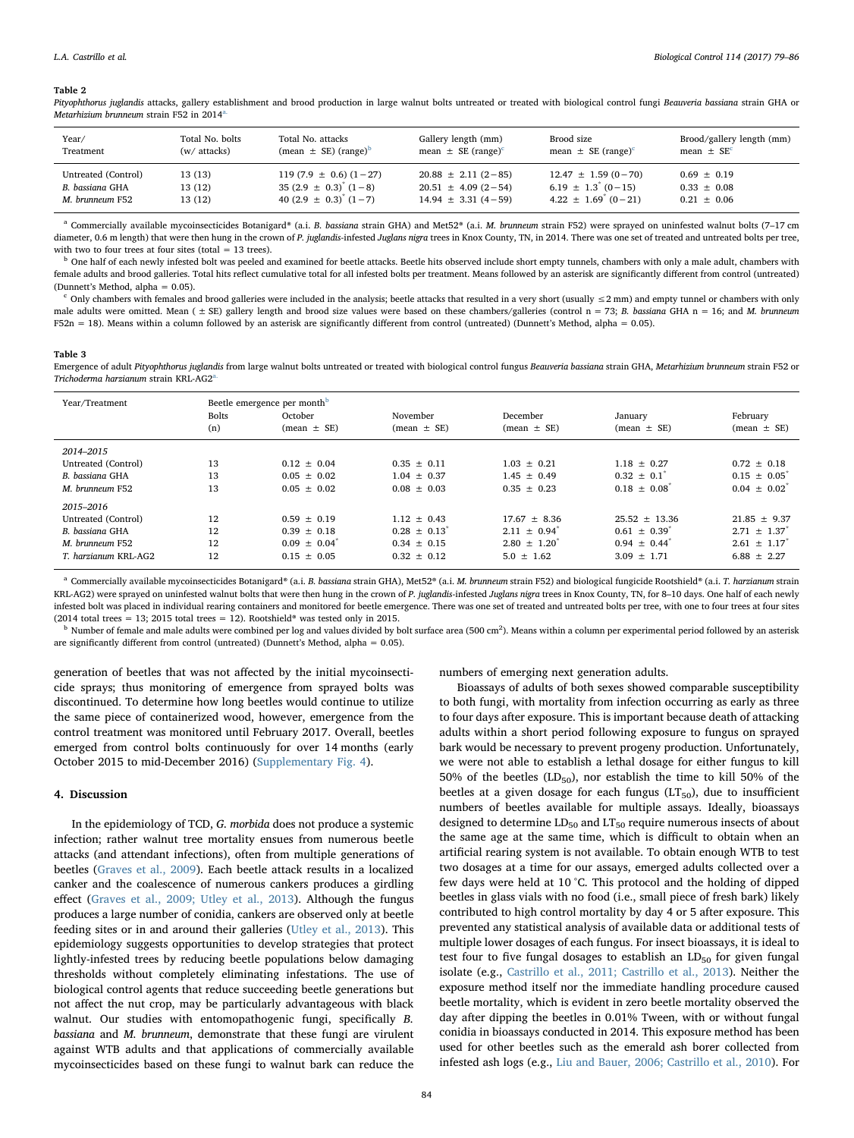#### <span id="page-5-0"></span>Table 2

Pityophthorus juglandis attacks, gallery establishment and brood production in large walnut bolts untreated or treated with biological control fungi Beauveria bassiana strain GHA or Metarhizium brunneum strain F52 in 2014[a.](#page-5-2)

| Year/               | Total No. bolts | Total No. attacks                              | Gallery length (mm)                | Brood size                         | Brood/gallery length (mm)  |
|---------------------|-----------------|------------------------------------------------|------------------------------------|------------------------------------|----------------------------|
| Treatment           | (w/ attacks)    | $(\text{mean} \pm \text{SE}) (\text{range})^D$ | mean $\pm$ SE (range) <sup>c</sup> | mean $\pm$ SE (range) <sup>c</sup> | mean $\pm$ SE <sup>c</sup> |
| Untreated (Control) | 13(13)          | $119(7.9 \pm 0.6) (1 - 27)$                    | $20.88 \pm 2.11(2-85)$             | $12.47 \pm 1.59(0-70)$             | $0.69 \pm 0.19$            |
| B. bassiana GHA     | 13 (12)         | $35(2.9 \pm 0.3)^{*}(1-8)$                     | $20.51 \pm 4.09(2-54)$             | $6.19 \pm 1.3$ (0 - 15)            | $0.33 \pm 0.08$            |
| M. brunneum F52     | 13 (12)         | 40 $(2.9 \pm 0.3)^{\dagger}$ $(1-7)$           | $14.94 \pm 3.31(4-59)$             | $4.22 \pm 1.69$ (0 - 21)           | $0.21 \pm 0.06$            |

<span id="page-5-2"></span><sup>a</sup> Commercially available mycoinsecticides Botanigard® (a.i. B. bassiana strain GHA) and Met52® (a.i. M. brunneum strain F52) were sprayed on uninfested walnut bolts (7-17 cm diameter, 0.6 m length) that were then hung in the crown of P. juglandis-infested Juglans nigra trees in Knox County, TN, in 2014. There was one set of treated and untreated bolts per tree, with two to four trees at four sites (total  $= 13$  trees).

<span id="page-5-3"></span><sup>b</sup> One half of each newly infested bolt was peeled and examined for beetle attacks. Beetle hits observed include short empty tunnels, chambers with only a male adult, chambers with female adults and brood galleries. Total hits reflect cumulative total for all infested bolts per treatment. Means followed by an asterisk are significantly different from control (untreated) (Dunnett's Method, alpha = 0.05).

<span id="page-5-4"></span>Only chambers with females and brood galleries were included in the analysis; beetle attacks that resulted in a very short (usually  $\leq$ 2 mm) and empty tunnel or chambers with only male adults were omitted. Mean  $f \pm SE$ ) gallery length and brood size values were based on these chambers/galleries (control n = 73; B. bassiana GHA n = 16; and M. brunneum  $F52n = 18$ ). Means within a column followed by an asterisk are significantly different from control (untreated) (Dunnett's Method, alpha = 0.05).

#### <span id="page-5-1"></span>Table 3

Emergence of adult Pityophthorus juglandis from large walnut bolts untreated or treated with biological control fungus Beauveria bassiana strain GHA, Metarhizium brunneum strain F52 or Trichoderma harzianum strain KRL-AG2

| Year/Treatment       | Beetle emergence per month <sup>b</sup><br><b>Bolts</b><br>(n) | October<br>$(mean \pm SE)$ | November<br>$(mean \pm SE)$ | December<br>$(mean \pm SE)$ | January<br>$(mean \pm SE)$   | February<br>$mean \pm SE$    |
|----------------------|----------------------------------------------------------------|----------------------------|-----------------------------|-----------------------------|------------------------------|------------------------------|
| 2014-2015            |                                                                |                            |                             |                             |                              |                              |
| Untreated (Control)  | 13                                                             | $0.12 \pm 0.04$            | $0.35 + 0.11$               | $1.03 + 0.21$               | $1.18 + 0.27$                | $0.72 \pm 0.18$              |
| B. bassiana GHA      | 13                                                             | $0.05 + 0.02$              | $1.04 + 0.37$               | $1.45 + 0.49$               | $0.32 + 0.1$                 | $0.15 \pm 0.05$              |
| M. brunneum F52      | 13                                                             | $0.05 \pm 0.02$            | $0.08 + 0.03$               | $0.35 + 0.23$               | $0.18 \pm 0.08$ <sup>*</sup> | $0.04 \pm 0.02$ <sup>*</sup> |
| 2015-2016            |                                                                |                            |                             |                             |                              |                              |
| Untreated (Control)  | 12                                                             | $0.59 + 0.19$              | $1.12 \pm 0.43$             | $17.67 + 8.36$              | $25.52 \pm 13.36$            | $21.85 \pm 9.37$             |
| B. bassiana GHA      | 12                                                             | $0.39 \pm 0.18$            | $0.28 \pm 0.13$             | $2.11 \pm 0.94$             | $0.61 \pm 0.39$              | $2.71 \pm 1.37$              |
| M. brunneum F52      | 12                                                             | $0.09 + 0.04$              | $0.34 + 0.15$               | $2.80 + 1.20^{8}$           | $0.94 + 0.44$                | $2.61 + 1.17$                |
| T. harzianum KRI-AG2 | 12                                                             | $0.15 \pm 0.05$            | $0.32 \pm 0.12$             | $5.0 \pm 1.62$              | $3.09 \pm 1.71$              | $6.88 \pm 2.27$              |
|                      |                                                                |                            |                             |                             |                              |                              |

<span id="page-5-5"></span>a Commercially available mycoinsecticides Botanigard® (a.i. B. bassiana strain GHA), Met52® (a.i. M. brunneum strain F52) and biological fungicide Rootshield® (a.i. T. harzianum strain KRL-AG2) were sprayed on uninfested walnut bolts that were then hung in the crown of P. juglandis-infested Juglans nigra trees in Knox County, TN, for 8-10 days. One half of each newly infested bolt was placed in individual rearing containers and monitored for beetle emergence. There was one set of treated and untreated bolts per tree, with one to four trees at four sites (2014 total trees = 13; 2015 total trees = 12). Rootshield<sup>®</sup> was tested only in 2015.

<span id="page-5-6"></span><sup>b</sup> Number of female and male adults were combined per log and values divided by bolt surface area (500 cm<sup>2</sup>). Means within a column per experimental period followed by an asterisk are significantly different from control (untreated) (Dunnett's Method, alpha =  $0.05$ ).

generation of beetles that was not affected by the initial mycoinsecticide sprays; thus monitoring of emergence from sprayed bolts was discontinued. To determine how long beetles would continue to utilize the same piece of containerized wood, however, emergence from the control treatment was monitored until February 2017. Overall, beetles emerged from control bolts continuously for over 14 months (early October 2015 to mid-December 2016) (Supplementary Fig. 4).

#### 4. Discussion

In the epidemiology of TCD, G. morbida does not produce a systemic infection; rather walnut tree mortality ensues from numerous beetle attacks (and attendant infections), often from multiple generations of beetles [\(Graves et al., 2009\)](#page-7-1). Each beetle attack results in a localized canker and the coalescence of numerous cankers produces a girdling effect ([Graves et al., 2009; Utley et al., 2013](#page-7-1)). Although the fungus produces a large number of conidia, cankers are observed only at beetle feeding sites or in and around their galleries ([Utley et al., 2013\)](#page-7-11). This epidemiology suggests opportunities to develop strategies that protect lightly-infested trees by reducing beetle populations below damaging thresholds without completely eliminating infestations. The use of biological control agents that reduce succeeding beetle generations but not affect the nut crop, may be particularly advantageous with black walnut. Our studies with entomopathogenic fungi, specifically B. bassiana and M. brunneum, demonstrate that these fungi are virulent against WTB adults and that applications of commercially available mycoinsecticides based on these fungi to walnut bark can reduce the

numbers of emerging next generation adults.

Bioassays of adults of both sexes showed comparable susceptibility to both fungi, with mortality from infection occurring as early as three to four days after exposure. This is important because death of attacking adults within a short period following exposure to fungus on sprayed bark would be necessary to prevent progeny production. Unfortunately, we were not able to establish a lethal dosage for either fungus to kill 50% of the beetles  $(LD_{50})$ , nor establish the time to kill 50% of the beetles at a given dosage for each fungus  $(LT_{50})$ , due to insufficient numbers of beetles available for multiple assays. Ideally, bioassays designed to determine  $LD_{50}$  and  $LT_{50}$  require numerous insects of about the same age at the same time, which is difficult to obtain when an artificial rearing system is not available. To obtain enough WTB to test two dosages at a time for our assays, emerged adults collected over a few days were held at 10 °C. This protocol and the holding of dipped beetles in glass vials with no food (i.e., small piece of fresh bark) likely contributed to high control mortality by day 4 or 5 after exposure. This prevented any statistical analysis of available data or additional tests of multiple lower dosages of each fungus. For insect bioassays, it is ideal to test four to five fungal dosages to establish an  $LD_{50}$  for given fungal isolate (e.g., [Castrillo et al., 2011; Castrillo et al., 2013](#page-7-24)). Neither the exposure method itself nor the immediate handling procedure caused beetle mortality, which is evident in zero beetle mortality observed the day after dipping the beetles in 0.01% Tween, with or without fungal conidia in bioassays conducted in 2014. This exposure method has been used for other beetles such as the emerald ash borer collected from infested ash logs (e.g., [Liu and Bauer, 2006; Castrillo et al., 2010](#page-7-25)). For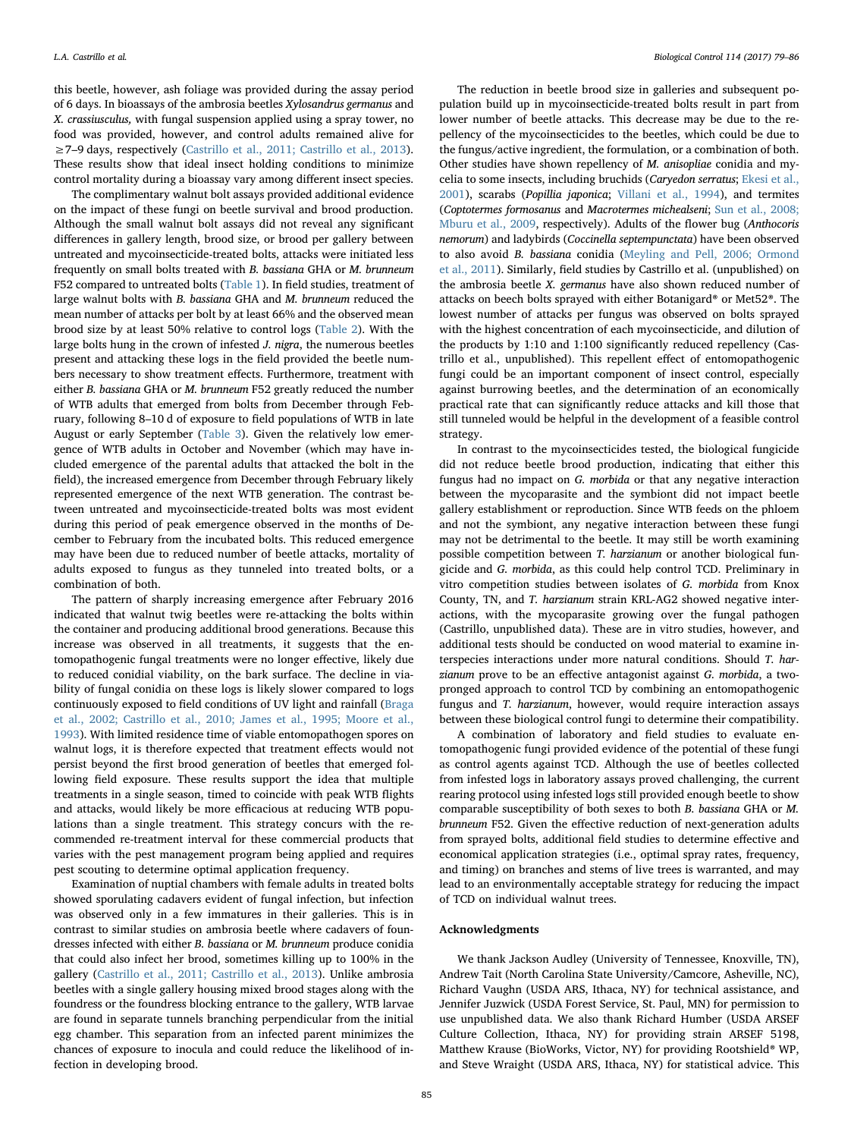this beetle, however, ash foliage was provided during the assay period of 6 days. In bioassays of the ambrosia beetles Xylosandrus germanus and X. crassiusculus, with fungal suspension applied using a spray tower, no food was provided, however, and control adults remained alive for ≥7–9 days, respectively ([Castrillo et al., 2011; Castrillo et al., 2013](#page-7-24)). These results show that ideal insect holding conditions to minimize control mortality during a bioassay vary among different insect species.

The complimentary walnut bolt assays provided additional evidence on the impact of these fungi on beetle survival and brood production. Although the small walnut bolt assays did not reveal any significant differences in gallery length, brood size, or brood per gallery between untreated and mycoinsecticide-treated bolts, attacks were initiated less frequently on small bolts treated with B. bassiana GHA or M. brunneum F52 compared to untreated bolts ([Table 1\)](#page-4-0). In field studies, treatment of large walnut bolts with B. bassiana GHA and M. brunneum reduced the mean number of attacks per bolt by at least 66% and the observed mean brood size by at least 50% relative to control logs ([Table 2\)](#page-5-0). With the large bolts hung in the crown of infested J. nigra, the numerous beetles present and attacking these logs in the field provided the beetle numbers necessary to show treatment effects. Furthermore, treatment with either B. bassiana GHA or M. brunneum F52 greatly reduced the number of WTB adults that emerged from bolts from December through February, following 8–10 d of exposure to field populations of WTB in late August or early September ([Table 3](#page-5-1)). Given the relatively low emergence of WTB adults in October and November (which may have included emergence of the parental adults that attacked the bolt in the field), the increased emergence from December through February likely represented emergence of the next WTB generation. The contrast between untreated and mycoinsecticide-treated bolts was most evident during this period of peak emergence observed in the months of December to February from the incubated bolts. This reduced emergence may have been due to reduced number of beetle attacks, mortality of adults exposed to fungus as they tunneled into treated bolts, or a combination of both.

The pattern of sharply increasing emergence after February 2016 indicated that walnut twig beetles were re-attacking the bolts within the container and producing additional brood generations. Because this increase was observed in all treatments, it suggests that the entomopathogenic fungal treatments were no longer effective, likely due to reduced conidial viability, on the bark surface. The decline in viability of fungal conidia on these logs is likely slower compared to logs continuously exposed to field conditions of UV light and rainfall [\(Braga](#page-7-26) [et al., 2002; Castrillo et al., 2010; James et al., 1995; Moore et al.,](#page-7-26) [1993\)](#page-7-26). With limited residence time of viable entomopathogen spores on walnut logs, it is therefore expected that treatment effects would not persist beyond the first brood generation of beetles that emerged following field exposure. These results support the idea that multiple treatments in a single season, timed to coincide with peak WTB flights and attacks, would likely be more efficacious at reducing WTB populations than a single treatment. This strategy concurs with the recommended re-treatment interval for these commercial products that varies with the pest management program being applied and requires pest scouting to determine optimal application frequency.

Examination of nuptial chambers with female adults in treated bolts showed sporulating cadavers evident of fungal infection, but infection was observed only in a few immatures in their galleries. This is in contrast to similar studies on ambrosia beetle where cadavers of foundresses infected with either B. bassiana or M. brunneum produce conidia that could also infect her brood, sometimes killing up to 100% in the gallery ([Castrillo et al., 2011; Castrillo et al., 2013\)](#page-7-24). Unlike ambrosia beetles with a single gallery housing mixed brood stages along with the foundress or the foundress blocking entrance to the gallery, WTB larvae are found in separate tunnels branching perpendicular from the initial egg chamber. This separation from an infected parent minimizes the chances of exposure to inocula and could reduce the likelihood of infection in developing brood.

The reduction in beetle brood size in galleries and subsequent population build up in mycoinsecticide-treated bolts result in part from lower number of beetle attacks. This decrease may be due to the repellency of the mycoinsecticides to the beetles, which could be due to the fungus/active ingredient, the formulation, or a combination of both. Other studies have shown repellency of M. anisopliae conidia and mycelia to some insects, including bruchids (Caryedon serratus; [Ekesi et al.,](#page-7-27) [2001\)](#page-7-27), scarabs (Popillia japonica; [Villani et al., 1994](#page-7-28)), and termites (Coptotermes formosanus and Macrotermes michealseni; [Sun et al., 2008;](#page-7-29) [Mburu et al., 2009,](#page-7-29) respectively). Adults of the flower bug (Anthocoris nemorum) and ladybirds (Coccinella septempunctata) have been observed to also avoid B. bassiana conidia [\(Meyling and Pell, 2006; Ormond](#page-7-30) [et al., 2011\)](#page-7-30). Similarly, field studies by Castrillo et al. (unpublished) on the ambrosia beetle X. germanus have also shown reduced number of attacks on beech bolts sprayed with either Botanigard® or Met52®. The lowest number of attacks per fungus was observed on bolts sprayed with the highest concentration of each mycoinsecticide, and dilution of the products by 1:10 and 1:100 significantly reduced repellency (Castrillo et al., unpublished). This repellent effect of entomopathogenic fungi could be an important component of insect control, especially against burrowing beetles, and the determination of an economically practical rate that can significantly reduce attacks and kill those that still tunneled would be helpful in the development of a feasible control strategy.

In contrast to the mycoinsecticides tested, the biological fungicide did not reduce beetle brood production, indicating that either this fungus had no impact on G. morbida or that any negative interaction between the mycoparasite and the symbiont did not impact beetle gallery establishment or reproduction. Since WTB feeds on the phloem and not the symbiont, any negative interaction between these fungi may not be detrimental to the beetle. It may still be worth examining possible competition between T. harzianum or another biological fungicide and G. morbida, as this could help control TCD. Preliminary in vitro competition studies between isolates of G. morbida from Knox County, TN, and T. harzianum strain KRL-AG2 showed negative interactions, with the mycoparasite growing over the fungal pathogen (Castrillo, unpublished data). These are in vitro studies, however, and additional tests should be conducted on wood material to examine interspecies interactions under more natural conditions. Should T. harzianum prove to be an effective antagonist against G. morbida, a twopronged approach to control TCD by combining an entomopathogenic fungus and T. harzianum, however, would require interaction assays between these biological control fungi to determine their compatibility.

A combination of laboratory and field studies to evaluate entomopathogenic fungi provided evidence of the potential of these fungi as control agents against TCD. Although the use of beetles collected from infested logs in laboratory assays proved challenging, the current rearing protocol using infested logs still provided enough beetle to show comparable susceptibility of both sexes to both B. bassiana GHA or M. brunneum F52. Given the effective reduction of next-generation adults from sprayed bolts, additional field studies to determine effective and economical application strategies (i.e., optimal spray rates, frequency, and timing) on branches and stems of live trees is warranted, and may lead to an environmentally acceptable strategy for reducing the impact of TCD on individual walnut trees.

# Acknowledgments

We thank Jackson Audley (University of Tennessee, Knoxville, TN), Andrew Tait (North Carolina State University/Camcore, Asheville, NC), Richard Vaughn (USDA ARS, Ithaca, NY) for technical assistance, and Jennifer Juzwick (USDA Forest Service, St. Paul, MN) for permission to use unpublished data. We also thank Richard Humber (USDA ARSEF Culture Collection, Ithaca, NY) for providing strain ARSEF 5198, Matthew Krause (BioWorks, Victor, NY) for providing Rootshield® WP, and Steve Wraight (USDA ARS, Ithaca, NY) for statistical advice. This